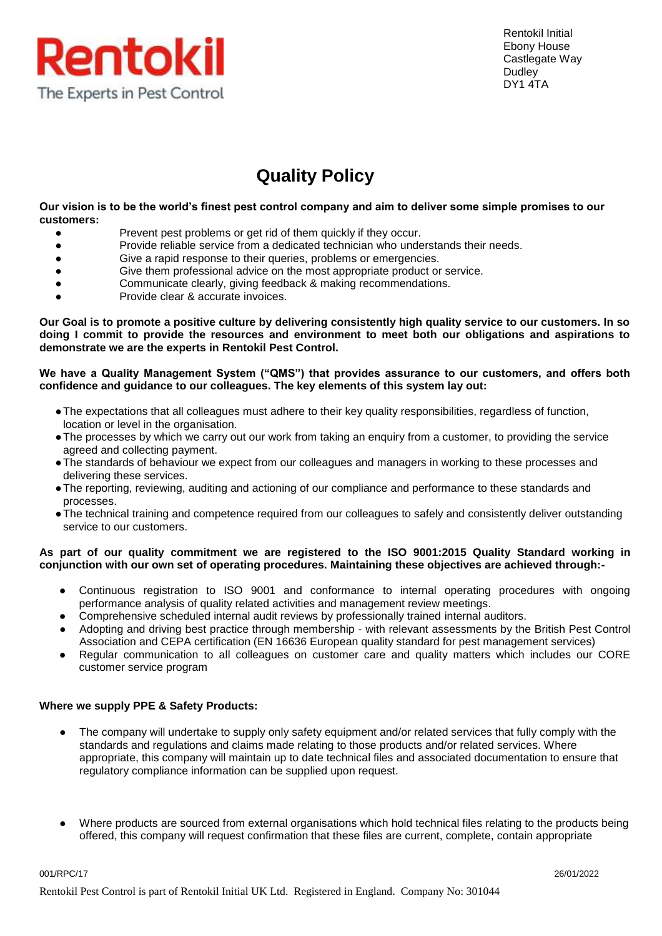

Rentokil Initial Ebony House Castlegate Way **Dudley** DY1 4TA

## **Quality Policy**

**Our vision is to be the world's finest pest control company and aim to deliver some simple promises to our customers:**

- Prevent pest problems or get rid of them quickly if they occur.
- Provide reliable service from a dedicated technician who understands their needs.
- Give a rapid response to their queries, problems or emergencies.
- Give them professional advice on the most appropriate product or service.
- Communicate clearly, giving feedback & making recommendations.
- Provide clear & accurate invoices.

**Our Goal is to promote a positive culture by delivering consistently high quality service to our customers. In so doing I commit to provide the resources and environment to meet both our obligations and aspirations to demonstrate we are the experts in Rentokil Pest Control.**

## **We have a Quality Management System ("QMS") that provides assurance to our customers, and offers both confidence and guidance to our colleagues. The key elements of this system lay out:**

- ●The expectations that all colleagues must adhere to their key quality responsibilities, regardless of function, location or level in the organisation.
- ●The processes by which we carry out our work from taking an enquiry from a customer, to providing the service agreed and collecting payment.
- ●The standards of behaviour we expect from our colleagues and managers in working to these processes and delivering these services.
- ●The reporting, reviewing, auditing and actioning of our compliance and performance to these standards and processes.
- ●The technical training and competence required from our colleagues to safely and consistently deliver outstanding service to our customers.

## **As part of our quality commitment we are registered to the ISO 9001:2015 Quality Standard working in conjunction with our own set of operating procedures. Maintaining these objectives are achieved through:-**

- Continuous registration to ISO 9001 and conformance to internal operating procedures with ongoing performance analysis of quality related activities and management review meetings.
- Comprehensive scheduled internal audit reviews by professionally trained internal auditors.
- Adopting and driving best practice through membership with relevant assessments by the British Pest Control Association and CEPA certification (EN 16636 European quality standard for pest management services)
- Regular communication to all colleagues on customer care and quality matters which includes our CORE customer service program

## **Where we supply PPE & Safety Products:**

- The company will undertake to supply only safety equipment and/or related services that fully comply with the standards and regulations and claims made relating to those products and/or related services. Where appropriate, this company will maintain up to date technical files and associated documentation to ensure that regulatory compliance information can be supplied upon request.
- Where products are sourced from external organisations which hold technical files relating to the products being offered, this company will request confirmation that these files are current, complete, contain appropriate

001/RPC/17 26/01/2022